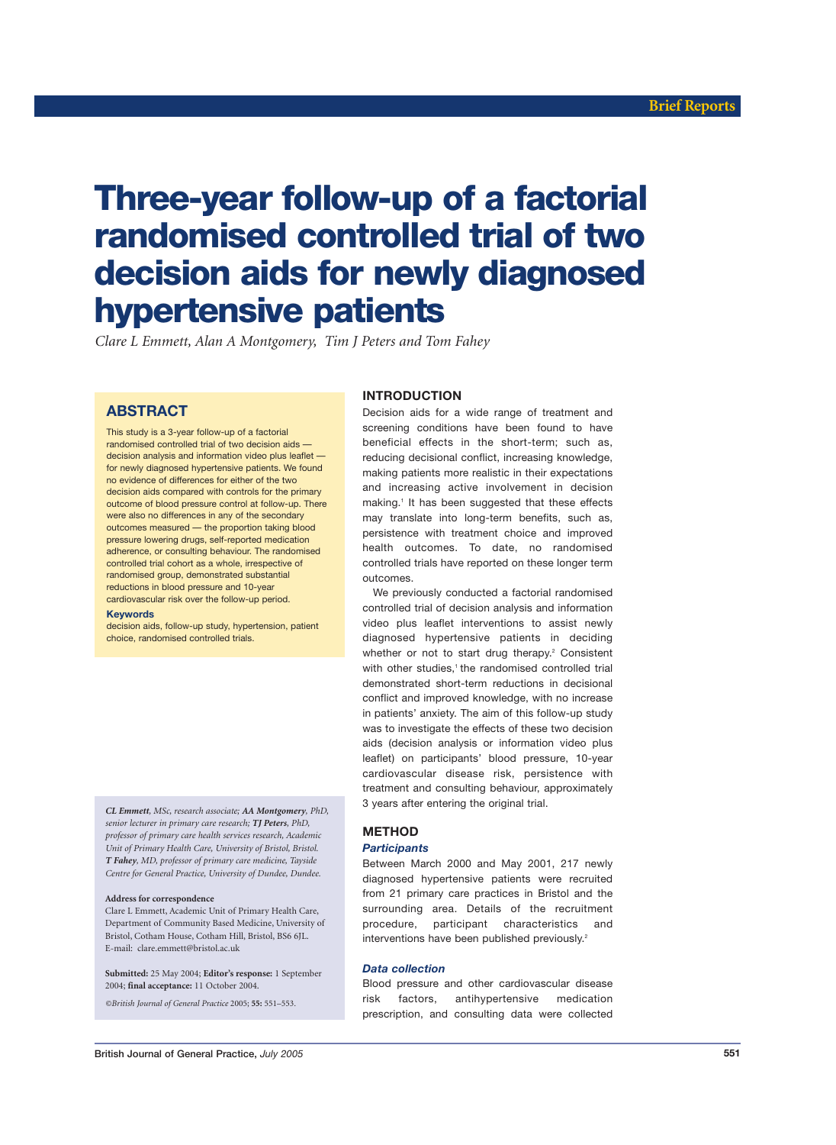# **Three-year follow-up of a factorial randomised controlled trial of two decision aids for newly diagnosed hypertensive patients**

*Clare L Emmett, Alan A Montgomery, Tim J Peters and Tom Fahey*

# **ABSTRACT**

This study is a 3-year follow-up of a factorial randomised controlled trial of two decision aids decision analysis and information video plus leaflet for newly diagnosed hypertensive patients. We found no evidence of differences for either of the two decision aids compared with controls for the primary outcome of blood pressure control at follow-up. There were also no differences in any of the secondary outcomes measured — the proportion taking blood pressure lowering drugs, self-reported medication adherence, or consulting behaviour. The randomised controlled trial cohort as a whole, irrespective of randomised group, demonstrated substantial reductions in blood pressure and 10-year cardiovascular risk over the follow-up period.

# **Keywords**

decision aids, follow-up study, hypertension, patient choice, randomised controlled trials.

*CL Emmett, MSc, research associate; AA Montgomery, PhD, senior lecturer in primary care research; TJ Peters, PhD, professor of primary care health services research, Academic Unit of Primary Health Care, University of Bristol, Bristol. T Fahey, MD, professor of primary care medicine, Tayside Centre for General Practice, University of Dundee, Dundee.*

#### **Address for correspondence**

Clare L Emmett, Academic Unit of Primary Health Care, Department of Community Based Medicine, University of Bristol, Cotham House, Cotham Hill, Bristol, BS6 6JL. E-mail: clare.emmett@bristol.ac.uk

**Submitted:** 25 May 2004; **Editor's response:** 1 September 2004; **final acceptance:** 11 October 2004.

# *©British Journal of General Practice* 2005; **55:** 551–553*.*

# **INTRODUCTION**

Decision aids for a wide range of treatment and screening conditions have been found to have beneficial effects in the short-term; such as, reducing decisional conflict, increasing knowledge, making patients more realistic in their expectations and increasing active involvement in decision making.<sup>1</sup> It has been suggested that these effects may translate into long-term benefits, such as, persistence with treatment choice and improved health outcomes. To date, no randomised controlled trials have reported on these longer term outcomes.

We previously conducted a factorial randomised controlled trial of decision analysis and information video plus leaflet interventions to assist newly diagnosed hypertensive patients in deciding whether or not to start drug therapy.<sup>2</sup> Consistent with other studies,<sup>1</sup> the randomised controlled trial demonstrated short-term reductions in decisional conflict and improved knowledge, with no increase in patients' anxiety. The aim of this follow-up study was to investigate the effects of these two decision aids (decision analysis or information video plus leaflet) on participants' blood pressure, 10-year cardiovascular disease risk, persistence with treatment and consulting behaviour, approximately 3 years after entering the original trial.

# **METHOD**

# *Participants*

Between March 2000 and May 2001, 217 newly diagnosed hypertensive patients were recruited from 21 primary care practices in Bristol and the surrounding area. Details of the recruitment procedure, participant characteristics and interventions have been published previously.<sup>2</sup>

# *Data collection*

Blood pressure and other cardiovascular disease risk factors, antihypertensive medication prescription, and consulting data were collected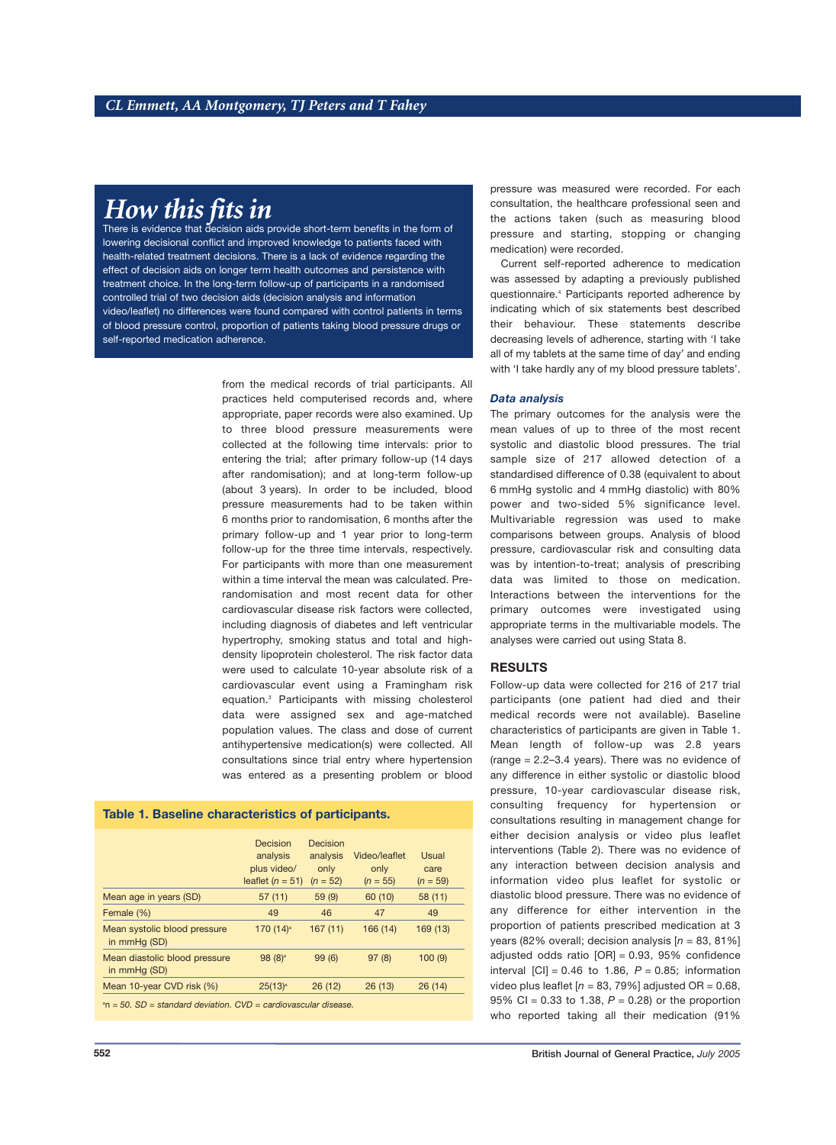# *How this fits in*

There is evidence that decision aids provide short-term benefits in the form of lowering decisional conflict and improved knowledge to patients faced with health-related treatment decisions. There is a lack of evidence regarding the effect of decision aids on longer term health outcomes and persistence with treatment choice. In the long-term follow-up of participants in a randomised controlled trial of two decision aids (decision analysis and information video/leaflet) no differences were found compared with control patients in terms of blood pressure control, proportion of patients taking blood pressure drugs or self-reported medication adherence.

> from the medical records of trial participants. All practices held computerised records and, where appropriate, paper records were also examined. Up to three blood pressure measurements were collected at the following time intervals: prior to entering the trial; after primary follow-up (14 days after randomisation); and at long-term follow-up (about 3 years). In order to be included, blood pressure measurements had to be taken within 6 months prior to randomisation, 6 months after the primary follow-up and 1 year prior to long-term follow-up for the three time intervals, respectively. For participants with more than one measurement within a time interval the mean was calculated. Prerandomisation and most recent data for other cardiovascular disease risk factors were collected, including diagnosis of diabetes and left ventricular hypertrophy, smoking status and total and highdensity lipoprotein cholesterol. The risk factor data were used to calculate 10-year absolute risk of a cardiovascular event using a Framingham risk equation.3 Participants with missing cholesterol data were assigned sex and age-matched population values. The class and dose of current antihypertensive medication(s) were collected. All consultations since trial entry where hypertension was entered as a presenting problem or blood

# **Table 1. Baseline characteristics of participants.**

|                                                                   | Decision<br>analysis<br>plus video/<br>leaflet $(n = 51)$ | Decision<br>analysis<br>only<br>$(n = 52)$ | Video/leaflet<br>only<br>$(n = 55)$ | Usual<br>care<br>$(n = 59)$ |  |  |
|-------------------------------------------------------------------|-----------------------------------------------------------|--------------------------------------------|-------------------------------------|-----------------------------|--|--|
| Mean age in years (SD)                                            | 57(11)                                                    | 59(9)                                      | 60 (10)                             | 58(11)                      |  |  |
| Female (%)                                                        | 49                                                        | 46                                         | 47                                  | 49                          |  |  |
| Mean systolic blood pressure<br>in mmHg (SD)                      | 170 $(14)^a$                                              | 167(11)                                    | 166 (14)                            | 169(13)                     |  |  |
| Mean diastolic blood pressure<br>in mmHg (SD)                     | $98(8)^a$                                                 | 99(6)                                      | 97(8)                               | 100(9)                      |  |  |
| Mean 10-year CVD risk (%)                                         | 25(13) <sup>a</sup>                                       | 26(12)                                     | 26(13)                              | 26(14)                      |  |  |
| $n = 50$ . SD = standard deviation. CVD = cardiovascular disease. |                                                           |                                            |                                     |                             |  |  |

pressure was measured were recorded. For each consultation, the healthcare professional seen and the actions taken (such as measuring blood pressure and starting, stopping or changing medication) were recorded.

Current self-reported adherence to medication was assessed by adapting a previously published questionnaire.4 Participants reported adherence by indicating which of six statements best described their behaviour. These statements describe decreasing levels of adherence, starting with 'I take all of my tablets at the same time of day' and ending with 'I take hardly any of my blood pressure tablets'.

# *Data analysis*

The primary outcomes for the analysis were the mean values of up to three of the most recent systolic and diastolic blood pressures. The trial sample size of 217 allowed detection of a standardised difference of 0.38 (equivalent to about 6 mmHg systolic and 4 mmHg diastolic) with 80% power and two-sided 5% significance level. Multivariable regression was used to make comparisons between groups. Analysis of blood pressure, cardiovascular risk and consulting data was by intention-to-treat; analysis of prescribing data was limited to those on medication. Interactions between the interventions for the primary outcomes were investigated using appropriate terms in the multivariable models. The analyses were carried out using Stata 8.

# **RESULTS**

Follow-up data were collected for 216 of 217 trial participants (one patient had died and their medical records were not available). Baseline characteristics of participants are given in Table 1. Mean length of follow-up was 2.8 years (range = 2.2–3.4 years). There was no evidence of any difference in either systolic or diastolic blood pressure, 10-year cardiovascular disease risk, consulting frequency for hypertension or consultations resulting in management change for either decision analysis or video plus leaflet interventions (Table 2). There was no evidence of any interaction between decision analysis and information video plus leaflet for systolic or diastolic blood pressure. There was no evidence of any difference for either intervention in the proportion of patients prescribed medication at 3 years (82% overall; decision analysis [*n* = 83, 81%] adjusted odds ratio  $[OR] = 0.93$ , 95% confidence interval  $|C| = 0.46$  to 1.86,  $P = 0.85$ ; information video plus leaflet  $[n = 83, 79\%]$  adjusted OR = 0.68, 95% CI =  $0.33$  to 1.38,  $P = 0.28$ ) or the proportion who reported taking all their medication (91%